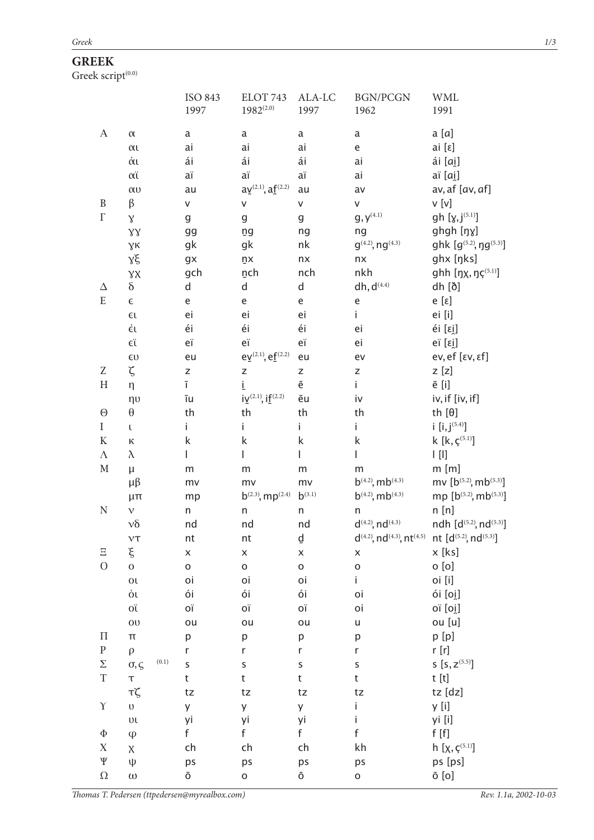## **GREEK**

Greek script $\overset{(0,0)}{ }$ 

|                           |                             | <b>ISO 843</b>     | ELOT 743                                         | ALA-LC             | <b>BGN/PCGN</b>                                      | <b>WML</b>                                                                                             |
|---------------------------|-----------------------------|--------------------|--------------------------------------------------|--------------------|------------------------------------------------------|--------------------------------------------------------------------------------------------------------|
|                           |                             | 1997               | $1982^{(2.0)}$                                   | 1997               | 1962                                                 | 1991                                                                                                   |
| $\boldsymbol{A}$          | $\alpha$                    | a                  | $\mathsf a$                                      | a                  | a                                                    | a [a]                                                                                                  |
|                           | $\alpha$                    | ai                 | ai                                               | ai                 | $\mathsf{e}% _{t}\left( t\right)$                    | ai [ε]                                                                                                 |
|                           | άι                          | ái                 | ái                                               | ái                 | ai                                                   | ái [ai]                                                                                                |
|                           | αϊ                          | aï                 | aï                                               | aï                 | ai                                                   | aï [ai]                                                                                                |
|                           | $\alpha$ <sub>U</sub>       | au                 | $a\underline{v}^{(2.1)}, a\underline{f}^{(2.2)}$ | au                 | av                                                   | av, af [av, af]                                                                                        |
| $\, {\bf B}$              | β                           | V                  | V                                                | V                  | V                                                    | v [v]                                                                                                  |
| $\Gamma$                  | $\chi$                      | g                  | g                                                | g                  | $\mathsf{g}, \mathsf{y}^{\scriptscriptstyle{(4.1)}}$ | gh $[y, j^{(5.1)}]$                                                                                    |
|                           | $\gamma\gamma$              | gg                 | ņg                                               | ng                 | ng                                                   | ghgh [ŋɣ]                                                                                              |
|                           | γĸ                          | gk                 | gk                                               | nk                 | $g^{(4.2)}$ , ng $^{(4.3)}$                          | ghk $[g^{(5.2)}, \eta g^{(5.3)}]$                                                                      |
|                           | γξ                          | gx                 | ņχ                                               | nx                 | n x                                                  | ghx [ŋks]                                                                                              |
|                           |                             | gch                | nch                                              | nch                | nkh                                                  | ghh [ŋx, ŋç $(5.1)$ ]                                                                                  |
| Δ                         | $\gamma\chi$<br>$\delta$    | d                  | d                                                | $\mathsf{d}$       | $dh, d^{(4.4)}$                                      | dh [ð]                                                                                                 |
| ${\bf E}$                 | $\in$                       | e                  | e                                                | e                  |                                                      | e [ε]                                                                                                  |
|                           |                             | ei                 | ei                                               | ei                 | e<br>i.                                              | ei [i]                                                                                                 |
|                           | $\epsilon$                  | éi                 | éi                                               |                    |                                                      |                                                                                                        |
|                           | έι                          |                    |                                                  | éi                 | ei                                                   | éi [εi̯]                                                                                               |
|                           | EΪ                          | eï                 | eï                                               | eï                 | ei                                                   | eï [εi̯]                                                                                               |
|                           | $\epsilon$ <sup>U</sup>     | eu                 | $e\underline{v}^{(2.1)}, e\underline{f}^{(2.2)}$ | eu                 | ev                                                   | ev, ef [εν, εf]                                                                                        |
| Z                         | ζ                           | Z                  | Z                                                | Z                  | Z                                                    | $z$ [z]                                                                                                |
| $\boldsymbol{\mathrm{H}}$ | η                           | ī                  | Ĺ                                                | ē                  | İ.                                                   | ē [i]                                                                                                  |
|                           | ηυ                          | īu                 | $i\underline{V}^{(2.1)}$ , if $f^{(2.2)}$        | ēu                 | iv                                                   | iv, if [iv, if]                                                                                        |
| $\Theta$                  | θ                           | th                 | th                                               | th                 | th                                                   | th $[\theta]$                                                                                          |
| $\rm I$                   | L                           | i.                 | i.                                               | i.                 | i.                                                   | i $[i, j^{(5.4)}]$                                                                                     |
| $\rm K$                   | Κ                           | k                  | k                                                | k                  | k                                                    | k [ $k, \varsigma^{(5.1)}$ ]                                                                           |
| $\Lambda$                 | $\lambda$                   | L                  | L                                                | L                  | L                                                    | $\left[ \begin{array}{c} \centering \\ \centering \centering \end{array} \right]$                      |
| $\mathbf M$               | $\mu$                       | m                  | m                                                | m                  | m                                                    | $m$ [m]                                                                                                |
|                           | $\mu\beta$                  | mv                 | mv                                               | mv                 | $b^{(4.2)}$ , m $b^{(4.3)}$                          | mv [ $b^{(5.2)}$ , m $b^{(5.3)}$ ]                                                                     |
|                           | $\mu\pi$                    | mp                 | $b^{(2.3)}$ , mp <sup>(2.4)</sup>                | $b^{(3.1)}$        | $b^{(4.2)}$ , m $b^{(4.3)}$                          | mp [ $b^{(5.2)}$ , m $b^{(5.3)}$ ]                                                                     |
| $\rm N$                   | $\sqrt{ }$                  | n                  | n                                                | n                  | n                                                    | n[n]                                                                                                   |
|                           | $\nu\delta$                 | nd                 | nd                                               | nd                 | $d^{(4.2)}$ , nd <sup>(4.3)</sup>                    | ndh [ $d^{(5.2)}$ , nd <sup>(5.3)</sup> ]                                                              |
|                           | $\nu\tau$                   | nt                 | nt                                               | ₫                  |                                                      | $d^{(4.2)}$ , nd <sup>(4.3)</sup> , nt <sup>(4.5)</sup> nt [d <sup>(5.2)</sup> , nd <sup>(5.3)</sup> ] |
| Ξ                         | ξ                           | $\pmb{\mathsf{X}}$ | $\pmb{\mathsf{X}}$                               | $\pmb{\mathsf{X}}$ | $\pmb{\times}$                                       | x [ks]                                                                                                 |
| $\overline{O}$            | $\overline{0}$              | $\mathsf{o}$       | $\mathsf{o}$                                     | $\mathsf{o}$       | $\mathsf{o}$                                         | o[o]                                                                                                   |
|                           | $\overline{\text{O}}$       | oi                 | oi                                               | oi                 | i.                                                   | oi [i]                                                                                                 |
|                           | οι                          | ói                 | ói                                               | ói                 | oi                                                   | ói [oi̯]                                                                                               |
|                           | ΟÏ                          | ΟÏ                 | ΟÏ                                               | ΟÏ                 | oi                                                   | oï [oi]                                                                                                |
|                           | O <sub>U</sub>              | ou                 | ou                                               | ou                 | u                                                    | ou [u]                                                                                                 |
| $\boldsymbol{\Pi}$        | $\pmb{\pi}$                 | p                  | p                                                | р                  | р                                                    | p[p]                                                                                                   |
| ${\bf P}$                 | $\rho$                      | r                  | $\mathsf{r}$                                     | r                  | $\mathsf{r}$                                         | r[r]                                                                                                   |
| $\Sigma$                  | (0.1)<br>$\sigma$ , $\zeta$ | S                  | $\sf S$                                          | S                  | $\sf S$                                              | S $[S, Z^{(5.5)}]$                                                                                     |
| $\mathbf T$               | $\tau$                      | t                  | $\mathsf t$                                      | t                  | $\sf t$                                              | t [t]                                                                                                  |
|                           | тζ                          | tz                 | tz                                               | tz                 | tz                                                   | tz [dz]                                                                                                |
| $\Upsilon$                | $\cup$                      | y                  | y                                                | y                  | İ.                                                   | y [i]                                                                                                  |
|                           | υı                          | уi                 | yi                                               | уi                 | İ.                                                   | yi [i]                                                                                                 |
| $\Phi$                    | $\varphi$                   | f                  | f                                                | f                  | $\mathsf{f}$                                         | f[f]                                                                                                   |
| $\mathbf X$               | $\chi$                      | ch                 | ch                                               | ch                 | kh                                                   | h [ $\chi, \varsigma^{(5.1)}$ ]                                                                        |
| $\Psi$                    | ψ                           | ps                 | ps                                               | ps                 | ps                                                   | ps [ps]                                                                                                |
| $\Omega$                  | $\omega$                    | ō                  | $\mathsf{o}$                                     | ō                  | $\mathsf{o}$                                         | ō [o]                                                                                                  |
|                           |                             |                    |                                                  |                    |                                                      |                                                                                                        |

Thomas T. Pedersen (ttpedersen@myrealbox.com)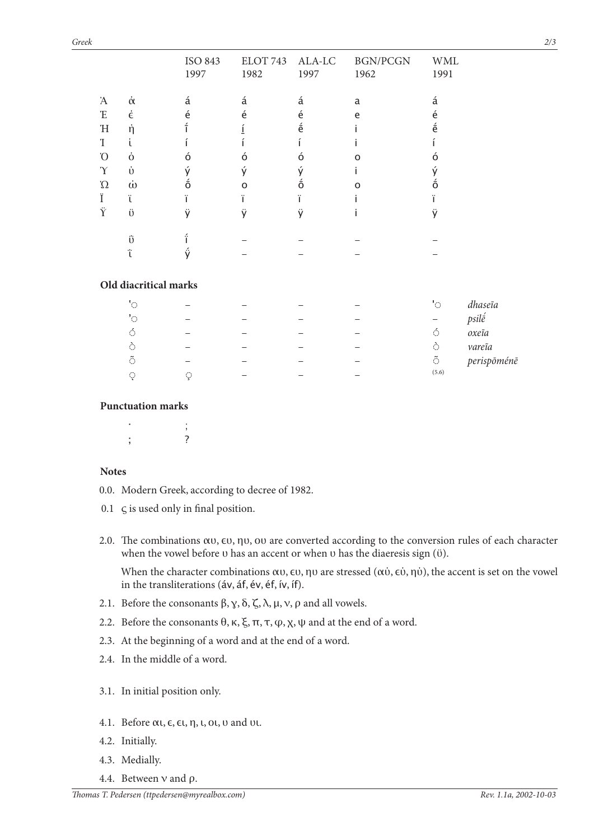|             |                       | ISO 843<br>1997 | ELOT 743<br>1982 | ALA-LC<br>1997              | <b>BGN/PCGN</b><br>1962 | <b>WML</b><br>1991                         |
|-------------|-----------------------|-----------------|------------------|-----------------------------|-------------------------|--------------------------------------------|
| Ά           | $\dot{\alpha}$        | á               | á                | á                           | a                       | á                                          |
| $\mathbf F$ | $\dot{\epsilon}$      | é               | é                | é                           | e                       | é                                          |
| $\mathbf H$ | ή                     |                 | Ţ                | $\acute{\text e}$           |                         | $\acute{\text e}$                          |
| T           | U                     |                 |                  |                             |                         |                                            |
| O'          | $\dot{0}$             | ó               | ó                | ó                           | $\Omega$                | ó                                          |
| $\Upsilon$  | $\dot{U}$             | ý               | ý                | ý                           |                         | ý                                          |
| $\Omega$    | $\dot{\omega}$        | $\ddot{\delta}$ | $\Omega$         | $\ddot{\tilde{\mathsf{o}}}$ | റ                       | $\acute{\mathrm{o}}$                       |
| Ï           | Ϊ                     | ï               | ï                | ï                           |                         | ï                                          |
| Ÿ           | Ü                     | ÿ               | ÿ                | ÿ                           |                         | ÿ                                          |
|             | ΰ                     | í               |                  |                             |                         |                                            |
|             | ΰ                     | ý               |                  |                             |                         |                                            |
|             | Old diacritical marks |                 |                  |                             |                         |                                            |
|             | $^{\circ}$            |                 |                  |                             |                         | 'O<br>dhaseia                              |
|             | $^{\prime}$ O         |                 |                  |                             |                         | psilé<br>—                                 |
|             | $\acute{\mathrm{o}}$  |                 |                  |                             |                         | Ó<br>$oxe\tilde{\imath}a$                  |
|             | $\Diamond$            |                 |                  |                             |                         | ò<br>vareĩa                                |
|             | $\tilde{\circ}$       |                 |                  |                             |                         | $\tilde{\circlearrowright}$<br>perispōménē |
|             | Q                     | Ç               |                  |                             |                         | (5.6)                                      |
|             |                       |                 |                  |                             |                         |                                            |

## **Punctuation marks**

 $\mathbf{r} = \mathbf{r} \times \mathbf{r}$  ;  $\mathbf{r} = \mathbf{r} \times \mathbf{r}$  ;  $\mathbf{r} = \mathbf{r} \times \mathbf{r}$  $\mathbf{z}$  ;  $\mathbf{z}$  ;  $\mathbf{z}$  ;  $\mathbf{z}$  ;  $\mathbf{z}$ 

## **Notes**

- 0.0. Modern Greek, according to decree of 1982.
- 0.1 ς is used only in final position.
- 2.0. The combinations αυ, ευ, ηυ, ου are converted according to the conversion rules of each character when the vowel before υ has an accent or when υ has the diaeresis sign (ϋ).

 When the character combinations αυ, ευ, ηυ are stressed (αύ, εύ, ηύ), the accent is set on the vowel in the transliterations (áv, áf, év, éf, ív, íf).

- 2.1. Before the consonants  $\beta$ ,  $\gamma$ ,  $\delta$ ,  $\zeta$ ,  $\lambda$ ,  $\mu$ ,  $\nu$ ,  $\rho$  and all vowels.
- 2.2. Before the consonants  $θ$ , κ, ξ, π, τ, φ, χ, ψ and at the end of a word.
- 2.3. At the beginning of a word and at the end of a word.
- 2.4. In the middle of a word.
- 3.1. In initial position only.
- 4.1. Before αι, ε, ει, η, ι, οι, υ and υι.
- 4.2. Initially.
- 4.3. Medially.
- 4.4. Between ν and ρ.